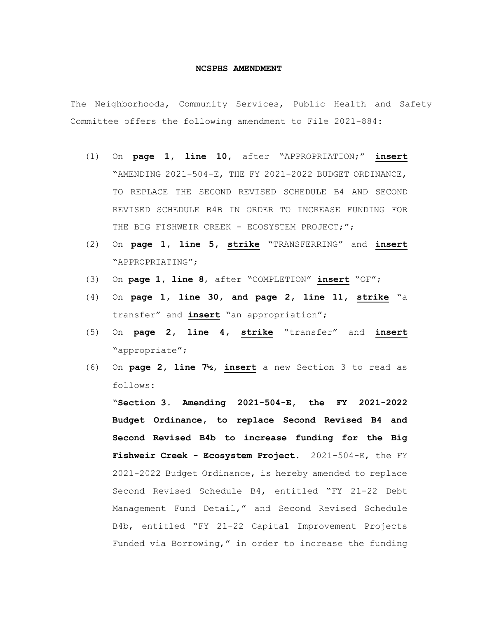## **NCSPHS AMENDMENT**

The Neighborhoods, Community Services, Public Health and Safety Committee offers the following amendment to File 2021-884:

- (1) On **page 1, line 10,** after "APPROPRIATION;" **insert** "AMENDING 2021-504-E, THE FY 2021-2022 BUDGET ORDINANCE, TO REPLACE THE SECOND REVISED SCHEDULE B4 AND SECOND REVISED SCHEDULE B4B IN ORDER TO INCREASE FUNDING FOR THE BIG FISHWEIR CREEK - ECOSYSTEM PROJECT;";
- (2) On **page 1, line 5, strike** "TRANSFERRING" and **insert** "APPROPRIATING";
- (3) On **page 1, line 8**, after "COMPLETION" **insert** "OF";
- (4) On **page 1, line 30, and page 2, line 11, strike** "a transfer" and **insert** "an appropriation";
- (5) On **page 2, line 4, strike** "transfer" and **insert** "appropriate";
- (6) On **page 2, line 7½, insert** a new Section 3 to read as follows:

"**Section 3. Amending 2021-504-E, the FY 2021-2022 Budget Ordinance, to replace Second Revised B4 and Second Revised B4b to increase funding for the Big Fishweir Creek - Ecosystem Project.** 2021-504-E, the FY 2021-2022 Budget Ordinance, is hereby amended to replace Second Revised Schedule B4, entitled "FY 21-22 Debt Management Fund Detail," and Second Revised Schedule B4b, entitled "FY 21-22 Capital Improvement Projects Funded via Borrowing," in order to increase the funding